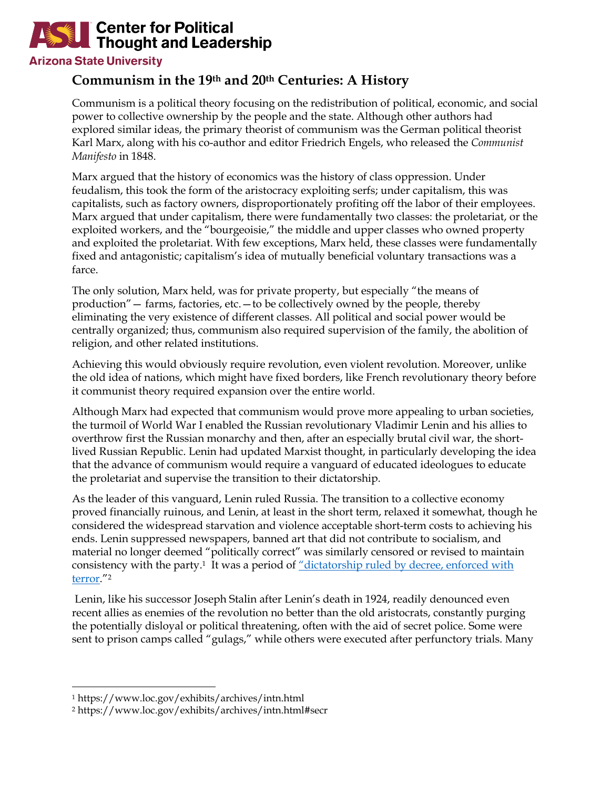## **Center for Political Thought and Leadership**

## **Arizona State University**

## **Communism in the 19th and 20th Centuries: A History**

Communism is a political theory focusing on the redistribution of political, economic, and social power to collective ownership by the people and the state. Although other authors had explored similar ideas, the primary theorist of communism was the German political theorist Karl Marx, along with his co-author and editor Friedrich Engels, who released the *Communist Manifesto* in 1848.

Marx argued that the history of economics was the history of class oppression. Under feudalism, this took the form of the aristocracy exploiting serfs; under capitalism, this was capitalists, such as factory owners, disproportionately profiting off the labor of their employees. Marx argued that under capitalism, there were fundamentally two classes: the proletariat, or the exploited workers, and the "bourgeoisie," the middle and upper classes who owned property and exploited the proletariat. With few exceptions, Marx held, these classes were fundamentally fixed and antagonistic; capitalism's idea of mutually beneficial voluntary transactions was a farce.

The only solution, Marx held, was for private property, but especially "the means of production"— farms, factories, etc.—to be collectively owned by the people, thereby eliminating the very existence of different classes. All political and social power would be centrally organized; thus, communism also required supervision of the family, the abolition of religion, and other related institutions.

Achieving this would obviously require revolution, even violent revolution. Moreover, unlike the old idea of nations, which might have fixed borders, like French revolutionary theory before it communist theory required expansion over the entire world.

Although Marx had expected that communism would prove more appealing to urban societies, the turmoil of World War I enabled the Russian revolutionary Vladimir Lenin and his allies to overthrow first the Russian monarchy and then, after an especially brutal civil war, the shortlived Russian Republic. Lenin had updated Marxist thought, in particularly developing the idea that the advance of communism would require a vanguard of educated ideologues to educate the proletariat and supervise the transition to their dictatorship.

As the leader of this vanguard, Lenin ruled Russia. The transition to a collective economy proved financially ruinous, and Lenin, at least in the short term, relaxed it somewhat, though he considered the widespread starvation and violence acceptable short-term costs to achieving his ends. Lenin suppressed newspapers, banned art that did not contribute to socialism, and material no longer deemed "politically correct" was similarly censored or revised to maintain consistency with the party.1 It was a period of "dictatorship ruled by decree, enforced with terror."2

Lenin, like his successor Joseph Stalin after Lenin's death in 1924, readily denounced even recent allies as enemies of the revolution no better than the old aristocrats, constantly purging the potentially disloyal or political threatening, often with the aid of secret police. Some were sent to prison camps called "gulags," while others were executed after perfunctory trials. Many

<sup>1</sup> https://www.loc.gov/exhibits/archives/intn.html

<sup>2</sup> https://www.loc.gov/exhibits/archives/intn.html#secr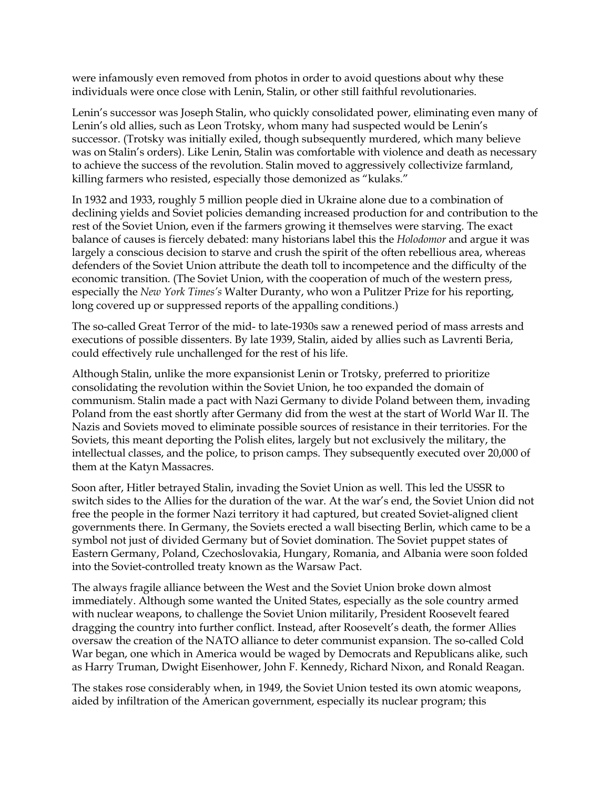were infamously even removed from photos in order to avoid questions about why these individuals were once close with Lenin, Stalin, or other still faithful revolutionaries.

Lenin's successor was Joseph Stalin, who quickly consolidated power, eliminating even many of Lenin's old allies, such as Leon Trotsky, whom many had suspected would be Lenin's successor. (Trotsky was initially exiled, though subsequently murdered, which many believe was on Stalin's orders). Like Lenin, Stalin was comfortable with violence and death as necessary to achieve the success of the revolution. Stalin moved to aggressively collectivize farmland, killing farmers who resisted, especially those demonized as "kulaks."

In 1932 and 1933, roughly 5 million people died in Ukraine alone due to a combination of declining yields and Soviet policies demanding increased production for and contribution to the rest of the Soviet Union, even if the farmers growing it themselves were starving. The exact balance of causes is fiercely debated: many historians label this the *Holodomor* and argue it was largely a conscious decision to starve and crush the spirit of the often rebellious area, whereas defenders of the Soviet Union attribute the death toll to incompetence and the difficulty of the economic transition. (The Soviet Union, with the cooperation of much of the western press, especially the *New York Times's* Walter Duranty, who won a Pulitzer Prize for his reporting, long covered up or suppressed reports of the appalling conditions.)

The so-called Great Terror of the mid- to late-1930s saw a renewed period of mass arrests and executions of possible dissenters. By late 1939, Stalin, aided by allies such as Lavrenti Beria, could effectively rule unchallenged for the rest of his life.

Although Stalin, unlike the more expansionist Lenin or Trotsky, preferred to prioritize consolidating the revolution within the Soviet Union, he too expanded the domain of communism. Stalin made a pact with Nazi Germany to divide Poland between them, invading Poland from the east shortly after Germany did from the west at the start of World War II. The Nazis and Soviets moved to eliminate possible sources of resistance in their territories. For the Soviets, this meant deporting the Polish elites, largely but not exclusively the military, the intellectual classes, and the police, to prison camps. They subsequently executed over 20,000 of them at the Katyn Massacres.

Soon after, Hitler betrayed Stalin, invading the Soviet Union as well. This led the USSR to switch sides to the Allies for the duration of the war. At the war's end, the Soviet Union did not free the people in the former Nazi territory it had captured, but created Soviet-aligned client governments there. In Germany, the Soviets erected a wall bisecting Berlin, which came to be a symbol not just of divided Germany but of Soviet domination. The Soviet puppet states of Eastern Germany, Poland, Czechoslovakia, Hungary, Romania, and Albania were soon folded into the Soviet-controlled treaty known as the Warsaw Pact.

The always fragile alliance between the West and the Soviet Union broke down almost immediately. Although some wanted the United States, especially as the sole country armed with nuclear weapons, to challenge the Soviet Union militarily, President Roosevelt feared dragging the country into further conflict. Instead, after Roosevelt's death, the former Allies oversaw the creation of the NATO alliance to deter communist expansion. The so-called Cold War began, one which in America would be waged by Democrats and Republicans alike, such as Harry Truman, Dwight Eisenhower, John F. Kennedy, Richard Nixon, and Ronald Reagan.

The stakes rose considerably when, in 1949, the Soviet Union tested its own atomic weapons, aided by infiltration of the American government, especially its nuclear program; this